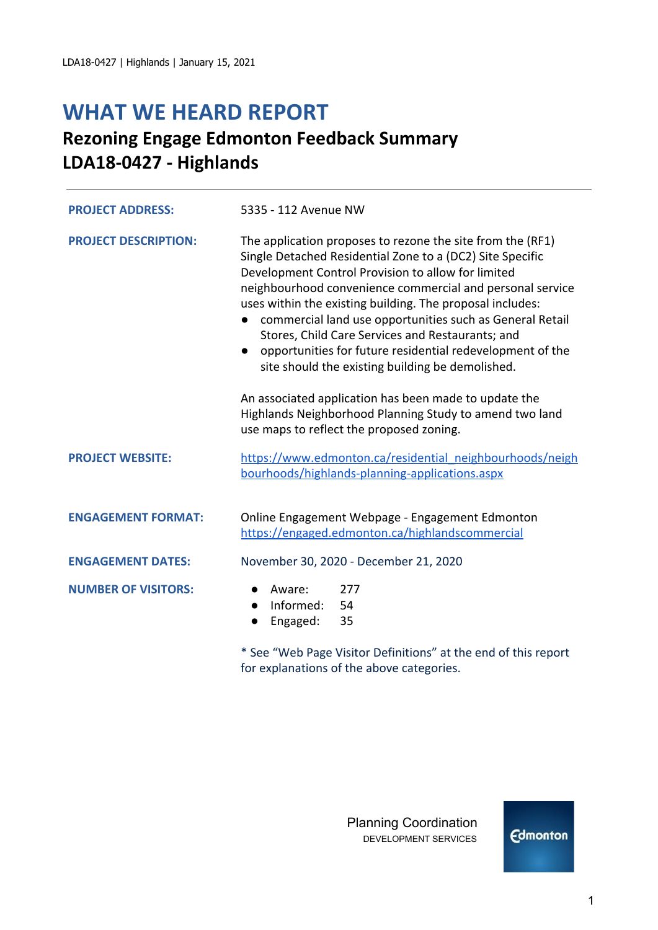# **WHAT WE HEARD REPORT**

## **Rezoning Engage Edmonton Feedback Summary LDA18-0427 - Highlands**

| <b>PROJECT ADDRESS:</b>     | 5335 - 112 Avenue NW                                                                                                                                                                                                                                                                                                                                                                                                                                                                                                                                  |  |  |
|-----------------------------|-------------------------------------------------------------------------------------------------------------------------------------------------------------------------------------------------------------------------------------------------------------------------------------------------------------------------------------------------------------------------------------------------------------------------------------------------------------------------------------------------------------------------------------------------------|--|--|
| <b>PROJECT DESCRIPTION:</b> | The application proposes to rezone the site from the (RF1)<br>Single Detached Residential Zone to a (DC2) Site Specific<br>Development Control Provision to allow for limited<br>neighbourhood convenience commercial and personal service<br>uses within the existing building. The proposal includes:<br>commercial land use opportunities such as General Retail<br>Stores, Child Care Services and Restaurants; and<br>opportunities for future residential redevelopment of the<br>$\bullet$<br>site should the existing building be demolished. |  |  |
|                             | An associated application has been made to update the<br>Highlands Neighborhood Planning Study to amend two land<br>use maps to reflect the proposed zoning.                                                                                                                                                                                                                                                                                                                                                                                          |  |  |
| <b>PROJECT WEBSITE:</b>     | https://www.edmonton.ca/residential_neighbourhoods/neigh<br>bourhoods/highlands-planning-applications.aspx                                                                                                                                                                                                                                                                                                                                                                                                                                            |  |  |
| <b>ENGAGEMENT FORMAT:</b>   | Online Engagement Webpage - Engagement Edmonton<br>https://engaged.edmonton.ca/highlandscommercial                                                                                                                                                                                                                                                                                                                                                                                                                                                    |  |  |
| <b>ENGAGEMENT DATES:</b>    | November 30, 2020 - December 21, 2020                                                                                                                                                                                                                                                                                                                                                                                                                                                                                                                 |  |  |
| <b>NUMBER OF VISITORS:</b>  | Aware:<br>277<br>Informed:<br>54<br>$\bullet$<br>Engaged:<br>35                                                                                                                                                                                                                                                                                                                                                                                                                                                                                       |  |  |
|                             | * See "Web Page Visitor Definitions" at the end of this report<br>for explanations of the above categories.                                                                                                                                                                                                                                                                                                                                                                                                                                           |  |  |

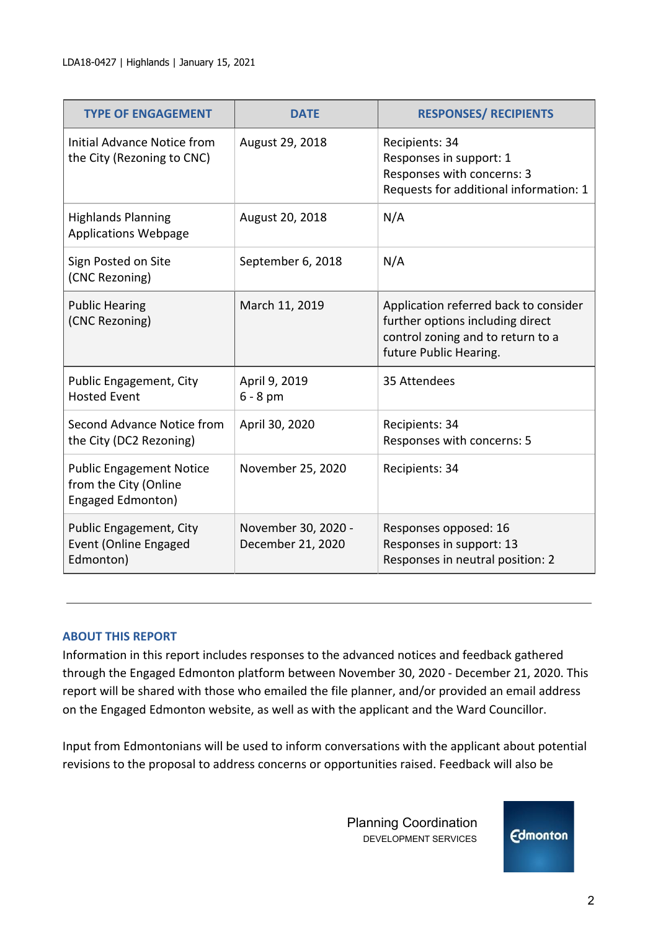| <b>TYPE OF ENGAGEMENT</b>                                                     | <b>DATE</b>                              | <b>RESPONSES/ RECIPIENTS</b>                                                                                                             |
|-------------------------------------------------------------------------------|------------------------------------------|------------------------------------------------------------------------------------------------------------------------------------------|
| Initial Advance Notice from<br>the City (Rezoning to CNC)                     | August 29, 2018                          | Recipients: 34<br>Responses in support: 1<br>Responses with concerns: 3<br>Requests for additional information: 1                        |
| <b>Highlands Planning</b><br><b>Applications Webpage</b>                      | August 20, 2018                          | N/A                                                                                                                                      |
| Sign Posted on Site<br>(CNC Rezoning)                                         | September 6, 2018                        | N/A                                                                                                                                      |
| <b>Public Hearing</b><br>(CNC Rezoning)                                       | March 11, 2019                           | Application referred back to consider<br>further options including direct<br>control zoning and to return to a<br>future Public Hearing. |
| Public Engagement, City<br><b>Hosted Event</b>                                | April 9, 2019<br>$6 - 8$ pm              | 35 Attendees                                                                                                                             |
| Second Advance Notice from<br>the City (DC2 Rezoning)                         | April 30, 2020                           | Recipients: 34<br>Responses with concerns: 5                                                                                             |
| <b>Public Engagement Notice</b><br>from the City (Online<br>Engaged Edmonton) | November 25, 2020                        | Recipients: 34                                                                                                                           |
| Public Engagement, City<br><b>Event (Online Engaged</b><br>Edmonton)          | November 30, 2020 -<br>December 21, 2020 | Responses opposed: 16<br>Responses in support: 13<br>Responses in neutral position: 2                                                    |

#### **ABOUT THIS REPORT**

Information in this report includes responses to the advanced notices and feedback gathered through the Engaged Edmonton platform between November 30, 2020 - December 21, 2020. This report will be shared with those who emailed the file planner, and/or provided an email address on the Engaged Edmonton website, as well as with the applicant and the Ward Councillor.

Input from Edmontonians will be used to inform conversations with the applicant about potential revisions to the proposal to address concerns or opportunities raised. Feedback will also be

> Planning Coordination DEVELOPMENT SERVICES

**Edmonton**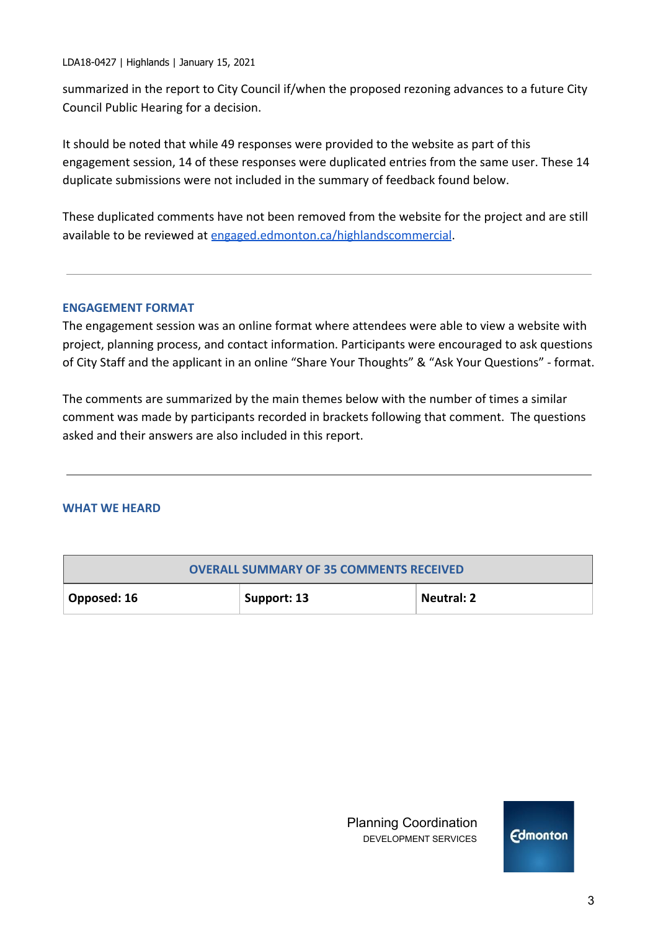LDA18-0427 | Highlands | January 15, 2021

summarized in the report to City Council if/when the proposed rezoning advances to a future City Council Public Hearing for a decision.

It should be noted that while 49 responses were provided to the website as part of this engagement session, 14 of these responses were duplicated entries from the same user. These 14 duplicate submissions were not included in the summary of feedback found below.

These duplicated comments have not been removed from the website for the project and are still available to be reviewed at [engaged.edmonton.ca/highlandscommercial](https://engaged.edmonton.ca/highlandscommercial).

#### **ENGAGEMENT FORMAT**

The engagement session was an online format where attendees were able to view a website with project, planning process, and contact information. Participants were encouraged to ask questions of City Staff and the applicant in an online "Share Your Thoughts" & "Ask Your Questions" - format.

The comments are summarized by the main themes below with the number of times a similar comment was made by participants recorded in brackets following that comment. The questions asked and their answers are also included in this report.

#### **WHAT WE HEARD**

| <b>OVERALL SUMMARY OF 35 COMMENTS RECEIVED</b> |             |                   |  |
|------------------------------------------------|-------------|-------------------|--|
| $\vert$ Opposed: 16                            | Support: 13 | <b>Neutral: 2</b> |  |

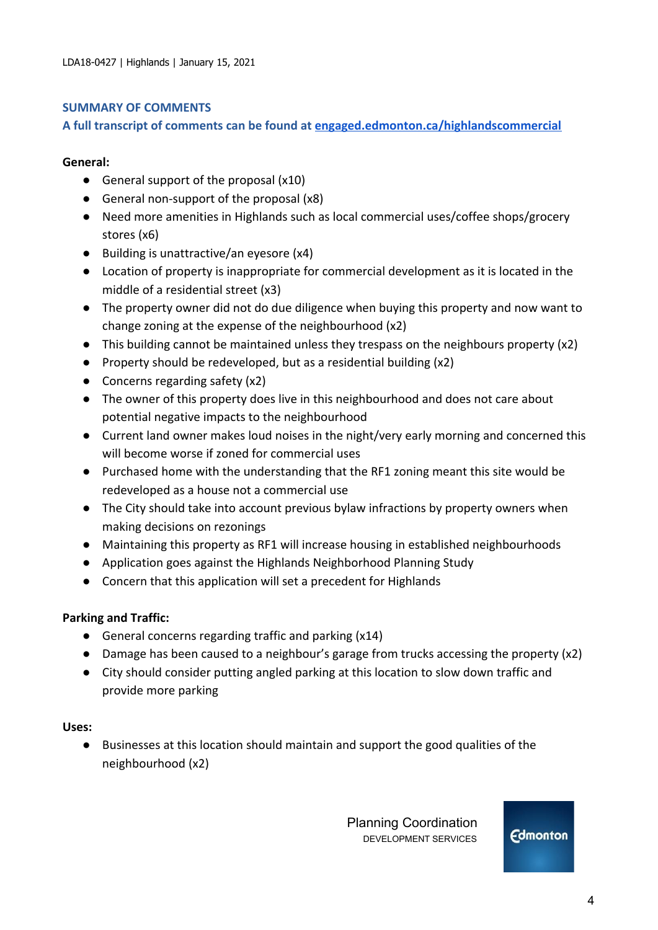#### **SUMMARY OF COMMENTS**

#### **A full transcript of comments can be found at [engaged.edmonton.ca/highlandscommercial](https://engaged.edmonton.ca/highlandscommercial)**

#### **General:**

- $\bullet$  General support of the proposal (x10)
- General non-support of the proposal (x8)
- Need more amenities in Highlands such as local commercial uses/coffee shops/grocery stores (x6)
- Building is unattractive/an eyesore (x4)
- Location of property is inappropriate for commercial development as it is located in the middle of a residential street (x3)
- The property owner did not do due diligence when buying this property and now want to change zoning at the expense of the neighbourhood (x2)
- This building cannot be maintained unless they trespass on the neighbours property (x2)
- Property should be redeveloped, but as a residential building (x2)
- Concerns regarding safety (x2)
- The owner of this property does live in this neighbourhood and does not care about potential negative impacts to the neighbourhood
- Current land owner makes loud noises in the night/very early morning and concerned this will become worse if zoned for commercial uses
- Purchased home with the understanding that the RF1 zoning meant this site would be redeveloped as a house not a commercial use
- The City should take into account previous bylaw infractions by property owners when making decisions on rezonings
- Maintaining this property as RF1 will increase housing in established neighbourhoods
- Application goes against the Highlands Neighborhood Planning Study
- Concern that this application will set a precedent for Highlands

#### **Parking and Traffic:**

- General concerns regarding traffic and parking (x14)
- Damage has been caused to a neighbour's garage from trucks accessing the property (x2)
- City should consider putting angled parking at this location to slow down traffic and provide more parking

#### **Uses:**

● Businesses at this location should maintain and support the good qualities of the neighbourhood (x2)

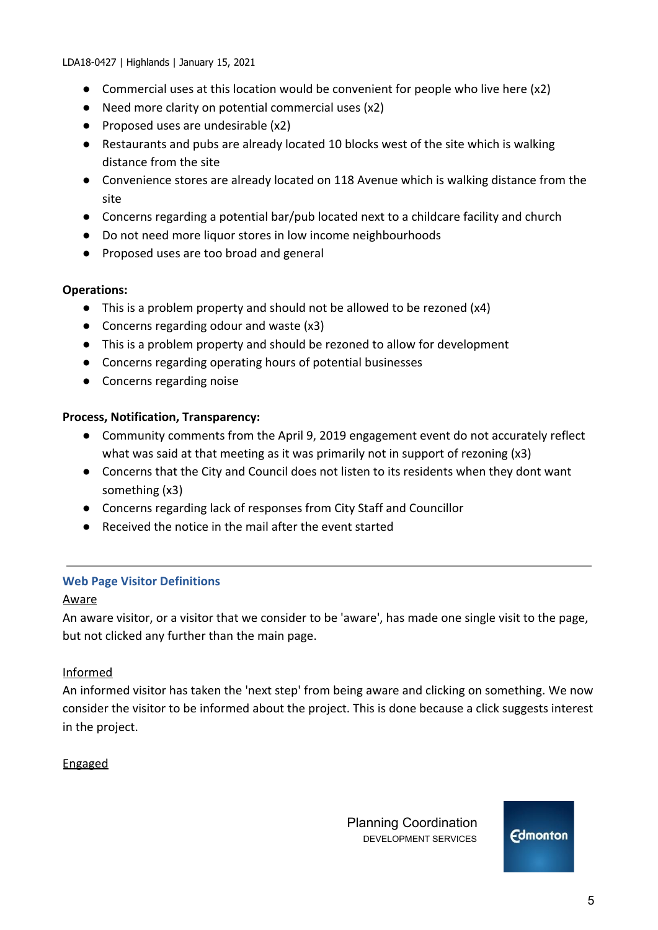LDA18-0427 | Highlands | January 15, 2021

- Commercial uses at this location would be convenient for people who live here  $(x2)$
- Need more clarity on potential commercial uses (x2)
- Proposed uses are undesirable (x2)
- Restaurants and pubs are already located 10 blocks west of the site which is walking distance from the site
- Convenience stores are already located on 118 Avenue which is walking distance from the site
- Concerns regarding a potential bar/pub located next to a childcare facility and church
- Do not need more liquor stores in low income neighbourhoods
- Proposed uses are too broad and general

#### **Operations:**

- This is a problem property and should not be allowed to be rezoned (x4)
- Concerns regarding odour and waste (x3)
- This is a problem property and should be rezoned to allow for development
- Concerns regarding operating hours of potential businesses
- Concerns regarding noise

## **Process, Notification, Transparency:**

- Community comments from the April 9, 2019 engagement event do not accurately reflect what was said at that meeting as it was primarily not in support of rezoning (x3)
- Concerns that the City and Council does not listen to its residents when they dont want something (x3)
- Concerns regarding lack of responses from City Staff and Councillor
- Received the notice in the mail after the event started

## **Web Page Visitor Definitions**

#### Aware

An aware visitor, or a visitor that we consider to be 'aware', has made one single visit to the page, but not clicked any further than the main page.

## Informed

An informed visitor has taken the 'next step' from being aware and clicking on something. We now consider the visitor to be informed about the project. This is done because a click suggests interest in the project.

## Engaged